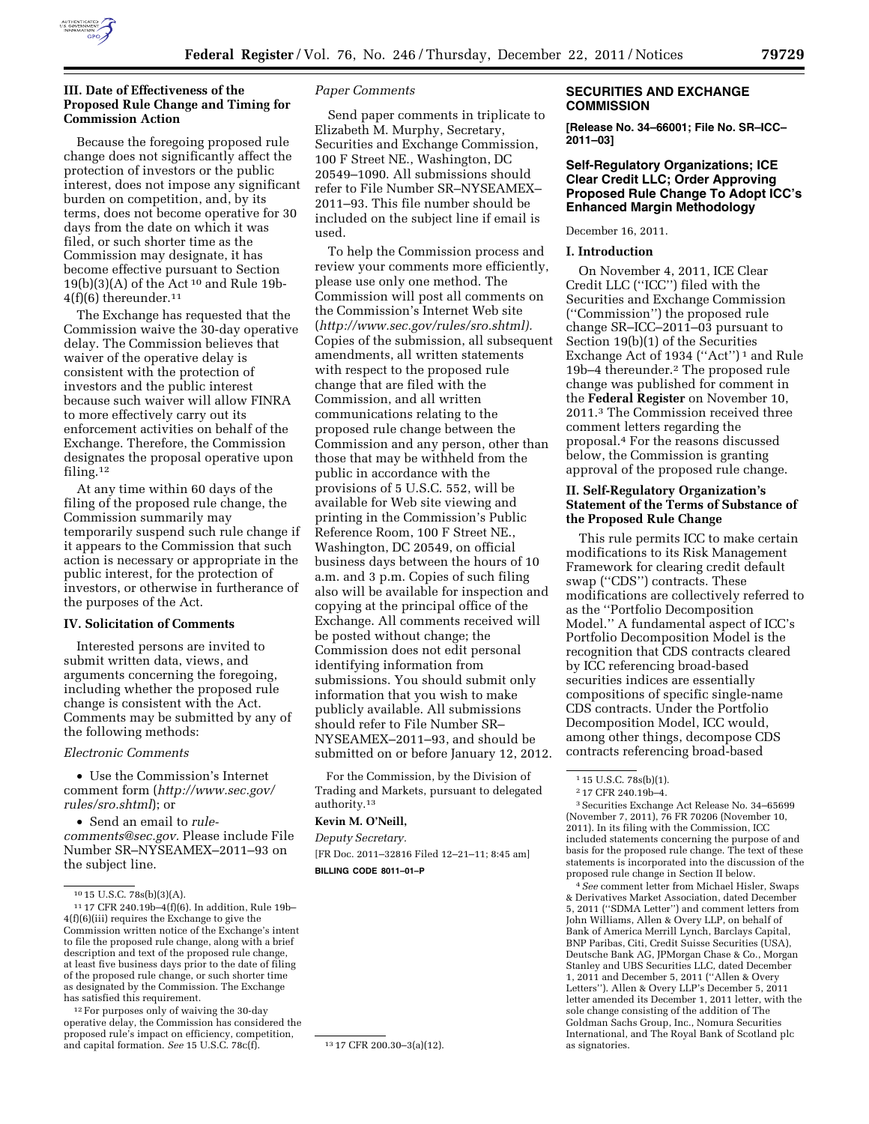

### **III. Date of Effectiveness of the Proposed Rule Change and Timing for Commission Action**

Because the foregoing proposed rule change does not significantly affect the protection of investors or the public interest, does not impose any significant burden on competition, and, by its terms, does not become operative for 30 days from the date on which it was filed, or such shorter time as the Commission may designate, it has become effective pursuant to Section  $19(b)(3)(A)$  of the Act<sup>10</sup> and Rule 19b- $4(f)(6)$  thereunder.<sup>11</sup>

The Exchange has requested that the Commission waive the 30-day operative delay. The Commission believes that waiver of the operative delay is consistent with the protection of investors and the public interest because such waiver will allow FINRA to more effectively carry out its enforcement activities on behalf of the Exchange. Therefore, the Commission designates the proposal operative upon filing.12

At any time within 60 days of the filing of the proposed rule change, the Commission summarily may temporarily suspend such rule change if it appears to the Commission that such action is necessary or appropriate in the public interest, for the protection of investors, or otherwise in furtherance of the purposes of the Act.

#### **IV. Solicitation of Comments**

Interested persons are invited to submit written data, views, and arguments concerning the foregoing, including whether the proposed rule change is consistent with the Act. Comments may be submitted by any of the following methods:

### *Electronic Comments*

• Use the Commission's Internet comment form (*[http://www.sec.gov/](http://www.sec.gov/rules/sro.shtml)  [rules/sro.shtml](http://www.sec.gov/rules/sro.shtml)*); or

• Send an email to *[rule](mailto:rule-comments@sec.gov)[comments@sec.gov.](mailto:rule-comments@sec.gov)* Please include File Number SR–NYSEAMEX–2011–93 on the subject line.

12For purposes only of waiving the 30-day operative delay, the Commission has considered the proposed rule's impact on efficiency, competition, and capital formation. *See* 15 U.S.C. 78c(f). 13 17 CFR 200.30-3(a)(12).

#### *Paper Comments*

Send paper comments in triplicate to Elizabeth M. Murphy, Secretary, Securities and Exchange Commission, 100 F Street NE., Washington, DC 20549–1090. All submissions should refer to File Number SR–NYSEAMEX– 2011–93. This file number should be included on the subject line if email is used.

To help the Commission process and review your comments more efficiently, please use only one method. The Commission will post all comments on the Commission's Internet Web site (*[http://www.sec.gov/rules/sro.shtml\).](http://www.sec.gov/rules/sro.shtml)*  Copies of the submission, all subsequent amendments, all written statements with respect to the proposed rule change that are filed with the Commission, and all written communications relating to the proposed rule change between the Commission and any person, other than those that may be withheld from the public in accordance with the provisions of 5 U.S.C. 552, will be available for Web site viewing and printing in the Commission's Public Reference Room, 100 F Street NE., Washington, DC 20549, on official business days between the hours of 10 a.m. and 3 p.m. Copies of such filing also will be available for inspection and copying at the principal office of the Exchange. All comments received will be posted without change; the Commission does not edit personal identifying information from submissions. You should submit only information that you wish to make publicly available. All submissions should refer to File Number SR– NYSEAMEX–2011–93, and should be submitted on or before January 12, 2012.

For the Commission, by the Division of Trading and Markets, pursuant to delegated authority.13

# **Kevin M. O'Neill,**

*Deputy Secretary.*  [FR Doc. 2011–32816 Filed 12–21–11; 8:45 am] **BILLING CODE 8011–01–P** 

### **SECURITIES AND EXCHANGE COMMISSION**

**[Release No. 34–66001; File No. SR–ICC– 2011–03]** 

### **Self-Regulatory Organizations; ICE Clear Credit LLC; Order Approving Proposed Rule Change To Adopt ICC's Enhanced Margin Methodology**

December 16, 2011.

#### **I. Introduction**

On November 4, 2011, ICE Clear Credit LLC (''ICC'') filed with the Securities and Exchange Commission (''Commission'') the proposed rule change SR–ICC–2011–03 pursuant to Section 19(b)(1) of the Securities Exchange Act of 1934 ("Act")<sup>1</sup> and Rule 19b–4 thereunder.2 The proposed rule change was published for comment in the **Federal Register** on November 10, 2011.3 The Commission received three comment letters regarding the proposal.4 For the reasons discussed below, the Commission is granting approval of the proposed rule change.

## **II. Self-Regulatory Organization's Statement of the Terms of Substance of the Proposed Rule Change**

This rule permits ICC to make certain modifications to its Risk Management Framework for clearing credit default swap (''CDS'') contracts. These modifications are collectively referred to as the ''Portfolio Decomposition Model.'' A fundamental aspect of ICC's Portfolio Decomposition Model is the recognition that CDS contracts cleared by ICC referencing broad-based securities indices are essentially compositions of specific single-name CDS contracts. Under the Portfolio Decomposition Model, ICC would, among other things, decompose CDS contracts referencing broad-based

3Securities Exchange Act Release No. 34–65699 (November 7, 2011), 76 FR 70206 (November 10, 2011). In its filing with the Commission, ICC included statements concerning the purpose of and basis for the proposed rule change. The text of these statements is incorporated into the discussion of the proposed rule change in Section II below.

4*See* comment letter from Michael Hisler, Swaps & Derivatives Market Association, dated December 5, 2011 (''SDMA Letter'') and comment letters from John Williams, Allen & Overy LLP, on behalf of Bank of America Merrill Lynch, Barclays Capital, BNP Paribas, Citi, Credit Suisse Securities (USA), Deutsche Bank AG, JPMorgan Chase & Co., Morgan Stanley and UBS Securities LLC, dated December 1, 2011 and December 5, 2011 (''Allen & Overy Letters''). Allen & Overy LLP's December 5, 2011 letter amended its December 1, 2011 letter, with the sole change consisting of the addition of The Goldman Sachs Group, Inc., Nomura Securities International, and The Royal Bank of Scotland plc as signatories.

<sup>10</sup> 15 U.S.C. 78s(b)(3)(A).

<sup>11</sup> 17 CFR 240.19b–4(f)(6). In addition, Rule 19b– 4(f)(6)(iii) requires the Exchange to give the Commission written notice of the Exchange's intent to file the proposed rule change, along with a brief description and text of the proposed rule change, at least five business days prior to the date of filing of the proposed rule change, or such shorter time as designated by the Commission. The Exchange has satisfied this requirement.

<sup>1</sup> 15 U.S.C. 78s(b)(1).

<sup>2</sup> 17 CFR 240.19b–4.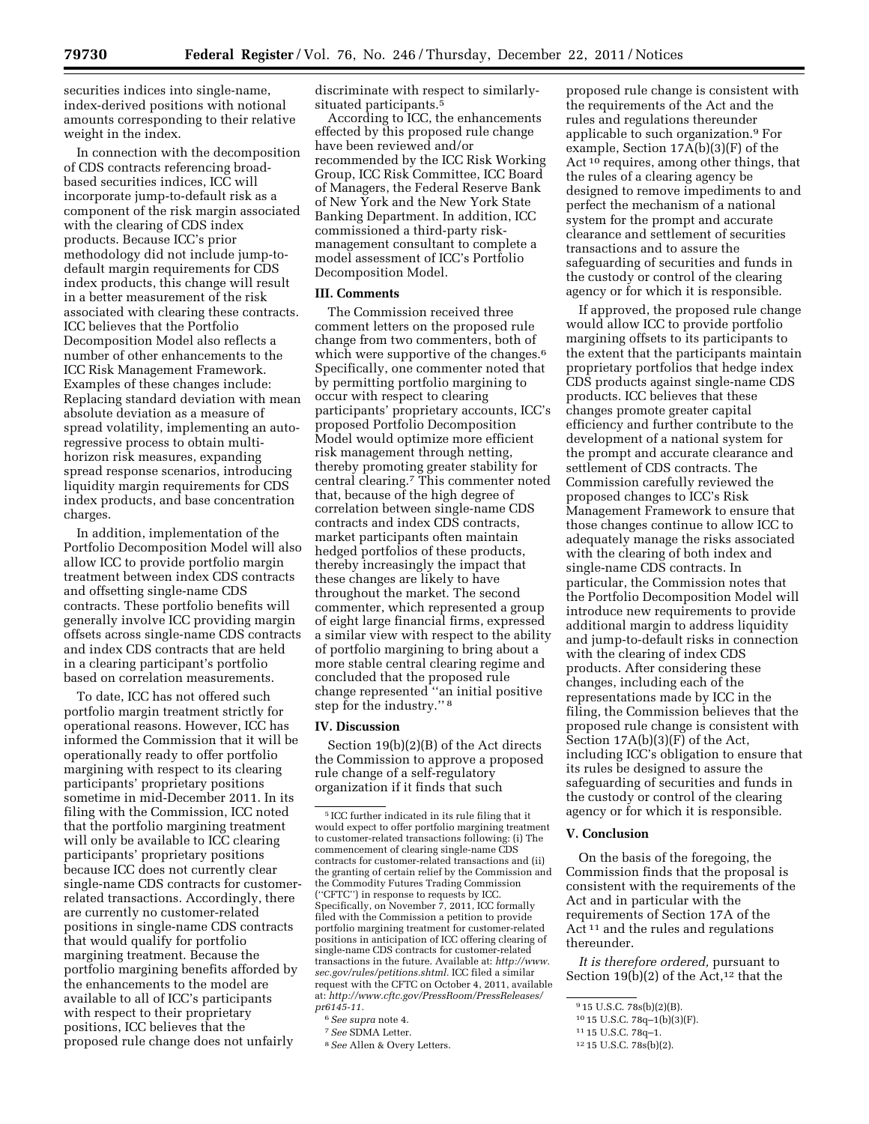securities indices into single-name, index-derived positions with notional amounts corresponding to their relative weight in the index.

In connection with the decomposition of CDS contracts referencing broadbased securities indices, ICC will incorporate jump-to-default risk as a component of the risk margin associated with the clearing of CDS index products. Because ICC's prior methodology did not include jump-todefault margin requirements for CDS index products, this change will result in a better measurement of the risk associated with clearing these contracts. ICC believes that the Portfolio Decomposition Model also reflects a number of other enhancements to the ICC Risk Management Framework. Examples of these changes include: Replacing standard deviation with mean absolute deviation as a measure of spread volatility, implementing an autoregressive process to obtain multihorizon risk measures, expanding spread response scenarios, introducing liquidity margin requirements for CDS index products, and base concentration charges.

In addition, implementation of the Portfolio Decomposition Model will also allow ICC to provide portfolio margin treatment between index CDS contracts and offsetting single-name CDS contracts. These portfolio benefits will generally involve ICC providing margin offsets across single-name CDS contracts and index CDS contracts that are held in a clearing participant's portfolio based on correlation measurements.

To date, ICC has not offered such portfolio margin treatment strictly for operational reasons. However, ICC has informed the Commission that it will be operationally ready to offer portfolio margining with respect to its clearing participants' proprietary positions sometime in mid-December 2011. In its filing with the Commission, ICC noted that the portfolio margining treatment will only be available to ICC clearing participants' proprietary positions because ICC does not currently clear single-name CDS contracts for customerrelated transactions. Accordingly, there are currently no customer-related positions in single-name CDS contracts that would qualify for portfolio margining treatment. Because the portfolio margining benefits afforded by the enhancements to the model are available to all of ICC's participants with respect to their proprietary positions, ICC believes that the proposed rule change does not unfairly

discriminate with respect to similarlysituated participants.<sup>5</sup>

According to ICC, the enhancements effected by this proposed rule change have been reviewed and/or recommended by the ICC Risk Working Group, ICC Risk Committee, ICC Board of Managers, the Federal Reserve Bank of New York and the New York State Banking Department. In addition, ICC commissioned a third-party riskmanagement consultant to complete a model assessment of ICC's Portfolio Decomposition Model.

### **III. Comments**

The Commission received three comment letters on the proposed rule change from two commenters, both of which were supportive of the changes.<sup>6</sup> Specifically, one commenter noted that by permitting portfolio margining to occur with respect to clearing participants' proprietary accounts, ICC's proposed Portfolio Decomposition Model would optimize more efficient risk management through netting, thereby promoting greater stability for central clearing.7 This commenter noted that, because of the high degree of correlation between single-name CDS contracts and index CDS contracts, market participants often maintain hedged portfolios of these products, thereby increasingly the impact that these changes are likely to have throughout the market. The second commenter, which represented a group of eight large financial firms, expressed a similar view with respect to the ability of portfolio margining to bring about a more stable central clearing regime and concluded that the proposed rule change represented ''an initial positive step for the industry.'' 8

#### **IV. Discussion**

Section 19(b)(2)(B) of the Act directs the Commission to approve a proposed rule change of a self-regulatory organization if it finds that such

8*See* Allen & Overy Letters.

proposed rule change is consistent with the requirements of the Act and the rules and regulations thereunder applicable to such organization.9 For example, Section 17A(b)(3)(F) of the Act 10 requires, among other things, that the rules of a clearing agency be designed to remove impediments to and perfect the mechanism of a national system for the prompt and accurate clearance and settlement of securities transactions and to assure the safeguarding of securities and funds in the custody or control of the clearing agency or for which it is responsible.

If approved, the proposed rule change would allow ICC to provide portfolio margining offsets to its participants to the extent that the participants maintain proprietary portfolios that hedge index CDS products against single-name CDS products. ICC believes that these changes promote greater capital efficiency and further contribute to the development of a national system for the prompt and accurate clearance and settlement of CDS contracts. The Commission carefully reviewed the proposed changes to ICC's Risk Management Framework to ensure that those changes continue to allow ICC to adequately manage the risks associated with the clearing of both index and single-name CDS contracts. In particular, the Commission notes that the Portfolio Decomposition Model will introduce new requirements to provide additional margin to address liquidity and jump-to-default risks in connection with the clearing of index CDS products. After considering these changes, including each of the representations made by ICC in the filing, the Commission believes that the proposed rule change is consistent with Section 17A(b)(3)(F) of the Act, including ICC's obligation to ensure that its rules be designed to assure the safeguarding of securities and funds in the custody or control of the clearing agency or for which it is responsible.

### **V. Conclusion**

On the basis of the foregoing, the Commission finds that the proposal is consistent with the requirements of the Act and in particular with the requirements of Section 17A of the Act<sup>11</sup> and the rules and regulations thereunder.

*It is therefore ordered,* pursuant to Section 19(b)(2) of the Act,<sup>12</sup> that the

<sup>5</sup> ICC further indicated in its rule filing that it would expect to offer portfolio margining treatment to customer-related transactions following: (i) The commencement of clearing single-name CDS contracts for customer-related transactions and (ii) the granting of certain relief by the Commission and the Commodity Futures Trading Commission (''CFTC'') in response to requests by ICC. Specifically, on November 7, 2011, ICC formally filed with the Commission a petition to provide portfolio margining treatment for customer-related positions in anticipation of ICC offering clearing of single-name CDS contracts for customer-related transactions in the future. Available at: *[http://www.](http://www.sec.gov/rules/petitions.shtml) [sec.gov/rules/petitions.shtml.](http://www.sec.gov/rules/petitions.shtml)* ICC filed a similar request with the CFTC on October 4, 2011, available at: *[http://www.cftc.gov/PressRoom/PressReleases/](http://www.cftc.gov/PressRoom/PressReleases/pr6145-11) [pr6145-11.](http://www.cftc.gov/PressRoom/PressReleases/pr6145-11)* 

<sup>6</sup>*See supra* note 4.

<sup>7</sup>*See* SDMA Letter.

<sup>9</sup> 15 U.S.C. 78s(b)(2)(B).

<sup>10</sup> 15 U.S.C. 78q–1(b)(3)(F).

<sup>11</sup> 15 U.S.C. 78q–1.

<sup>12</sup> 15 U.S.C. 78s(b)(2).